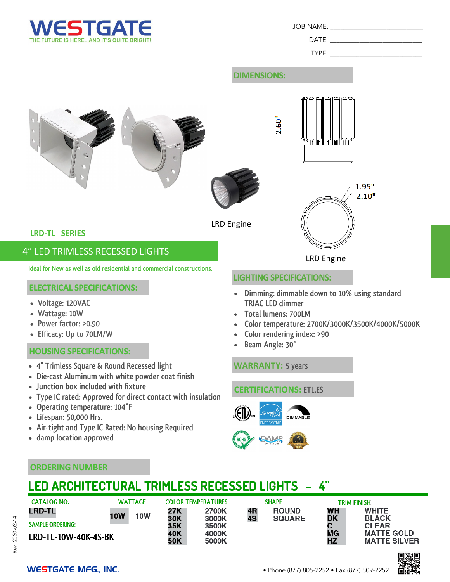

JOB NAME: \_\_\_\_\_\_\_\_\_\_\_\_\_\_\_\_\_\_\_\_\_\_\_\_\_\_\_\_

 $DATE:$ 

TYPE:

### **DIMENSIONS:**



#### **WARRANTY: 5 years**

#### **CERTIFICATIONS: ETL,ES**





#### **ORDERING NUMBER**

• **damp location approved**

• **Lifespan: 50,000 Hrs.**

• **4'' Trimless Square & Round Recessed light**

• **Junction box included with fixture**

• **Operating temperature: 104°F**

• **Die-cast Aluminum with white powder coat finish**

• **Air-tight and Type IC Rated: No housing Required** 

• **Type IC rated: Approved for direct contact with insulation** 

# LED ARCHITECTURAL TRIMLESS RECESSED LIGHTS - 4"

| <b>CATALOG NO.</b>      | <b>WATTAGE</b>           | <b>COLOR TEMPERATURES</b> |                | <b>SHAPE</b> |               | TRIM FINISH     |                                          |
|-------------------------|--------------------------|---------------------------|----------------|--------------|---------------|-----------------|------------------------------------------|
| <b>LRD-TL</b>           | <b>10W</b><br><b>10W</b> | 27K                       | 2700K          | 4R           | <b>ROUND</b>  | WН              | <b>WHITE</b>                             |
| <b>SAMPLE ORDERING:</b> |                          | 30K<br>35K                | 3000K<br>3500K | 4S           | <b>SQUARE</b> | BK              | <b>BLACK</b><br><b>CLEAR</b>             |
| LRD-TL-10W-40K-4S-BK    |                          | 40K<br>50K                | 4000K<br>5000K |              |               | <b>MG</b><br>ΗZ | <b>MATTE GOLD</b><br><b>MATTE SILVER</b> |